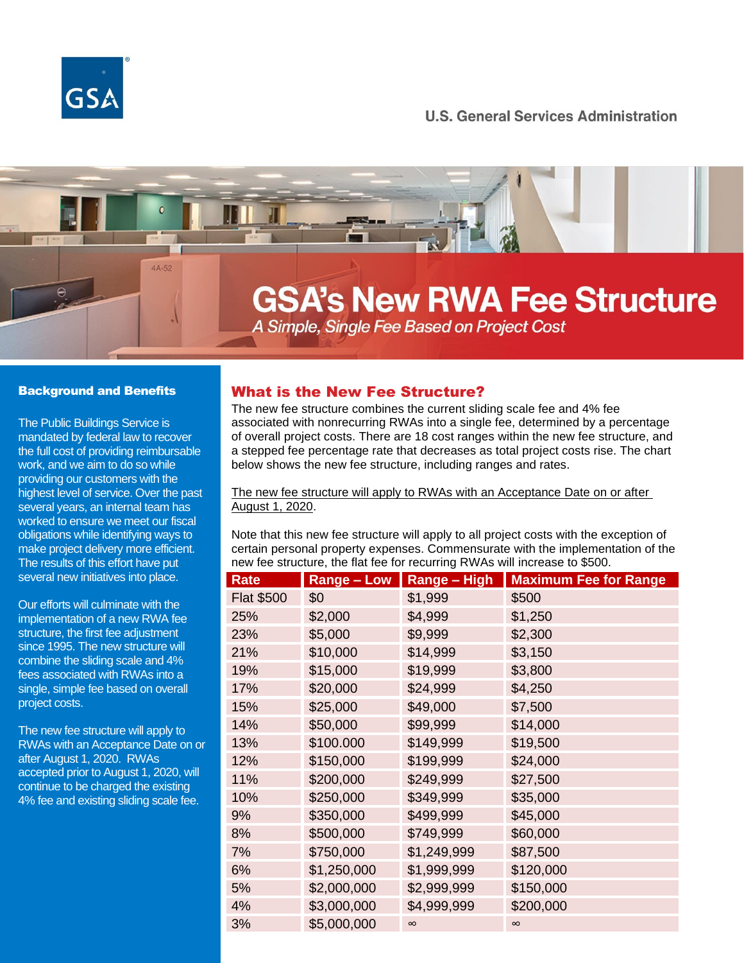

## **U.S. General Services Administration**

# 4A-52 **GSA's New RWA Fee Structure** A Simple, Single Fee Based on Project Cost

### Background and Benefits

The Public Buildings Service is mandated by federal law to recover the full cost of providing reimbursable work, and we aim to do so while providing our customers with the highest level of service. Over the past several years, an internal team has worked to ensure we meet our fiscal obligations while identifying ways to make project delivery more efficient. The results of this effort have put several new initiatives into place.

Our efforts will culminate with the implementation of a new RWA fee structure, the first fee adjustment since 1995. The new structure will combine the sliding scale and 4% fees associated with RWAs into a single, simple fee based on overall project costs.

The new fee structure will apply to RWAs with an Acceptance Date on or after August 1, 2020. RWAs accepted prior to August 1, 2020, will continue to be charged the existing 4% fee and existing sliding scale fee.

## What is the New Fee Structure?

The new fee structure combines the current sliding scale fee and 4% fee associated with nonrecurring RWAs into a single fee, determined by a percentage of overall project costs. There are 18 cost ranges within the new fee structure, and a stepped fee percentage rate that decreases as total project costs rise. The chart below shows the new fee structure, including ranges and rates.

#### The new fee structure will apply to RWAs with an Acceptance Date on or after August 1, 2020.

Note that this new fee structure will apply to all project costs with the exception of certain personal property expenses. Commensurate with the implementation of the new fee structure, the flat fee for recurring RWAs will increase to \$500.

| <b>Rate</b>       | <b>Range - Low</b> | <b>Range - High</b> | <b>Maximum Fee for Range</b> |
|-------------------|--------------------|---------------------|------------------------------|
| <b>Flat \$500</b> | \$0                | \$1,999             | \$500                        |
| 25%               | \$2,000            | \$4,999             | \$1,250                      |
| 23%               | \$5,000            | \$9,999             | \$2,300                      |
| 21%               | \$10,000           | \$14,999            | \$3,150                      |
| 19%               | \$15,000           | \$19,999            | \$3,800                      |
| 17%               | \$20,000           | \$24,999            | \$4,250                      |
| 15%               | \$25,000           | \$49,000            | \$7,500                      |
| 14%               | \$50,000           | \$99,999            | \$14,000                     |
| 13%               | \$100.000          | \$149,999           | \$19,500                     |
| 12%               | \$150,000          | \$199,999           | \$24,000                     |
| 11%               | \$200,000          | \$249,999           | \$27,500                     |
| 10%               | \$250,000          | \$349,999           | \$35,000                     |
| 9%                | \$350,000          | \$499,999           | \$45,000                     |
| 8%                | \$500,000          | \$749,999           | \$60,000                     |
| 7%                | \$750,000          | \$1,249,999         | \$87,500                     |
| 6%                | \$1,250,000        | \$1,999,999         | \$120,000                    |
| 5%                | \$2,000,000        | \$2,999,999         | \$150,000                    |
| 4%                | \$3,000,000        | \$4,999,999         | \$200,000                    |
| 3%                | \$5,000,000        | $\infty$            | $\infty$                     |